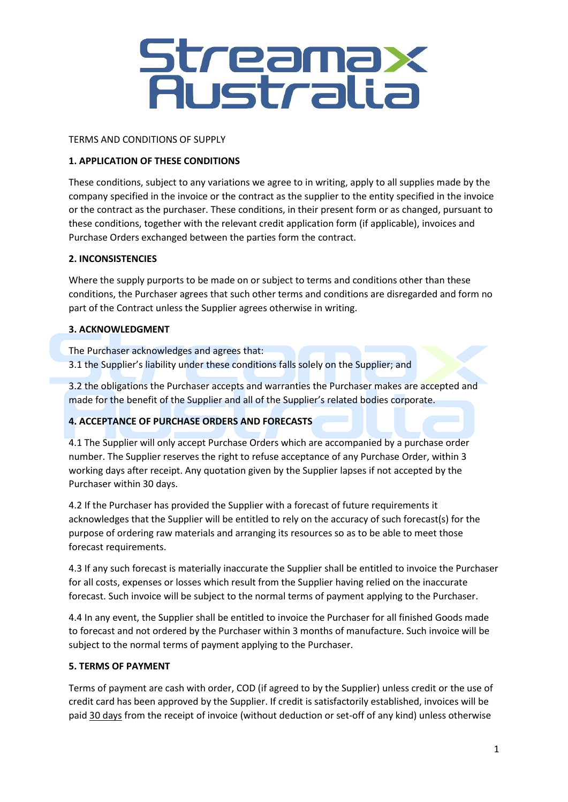# Streamax<br>Australia

## TERMS AND CONDITIONS OF SUPPLY

## **1. APPLICATION OF THESE CONDITIONS**

These conditions, subject to any variations we agree to in writing, apply to all supplies made by the company specified in the invoice or the contract as the supplier to the entity specified in the invoice or the contract as the purchaser. These conditions, in their present form or as changed, pursuant to these conditions, together with the relevant credit application form (if applicable), invoices and Purchase Orders exchanged between the parties form the contract.

## **2. INCONSISTENCIES**

Where the supply purports to be made on or subject to terms and conditions other than these conditions, the Purchaser agrees that such other terms and conditions are disregarded and form no part of the Contract unless the Supplier agrees otherwise in writing.

#### **3. ACKNOWLEDGMENT**

The Purchaser acknowledges and agrees that: 3.1 the Supplier's liability under these conditions falls solely on the Supplier; and

3.2 the obligations the Purchaser accepts and warranties the Purchaser makes are accepted and made for the benefit of the Supplier and all of the Supplier's related bodies corporate.

# **4. ACCEPTANCE OF PURCHASE ORDERS AND FORECASTS**

4.1 The Supplier will only accept Purchase Orders which are accompanied by a purchase order number. The Supplier reserves the right to refuse acceptance of any Purchase Order, within 3 working days after receipt. Any quotation given by the Supplier lapses if not accepted by the Purchaser within 30 days.

4.2 If the Purchaser has provided the Supplier with a forecast of future requirements it acknowledges that the Supplier will be entitled to rely on the accuracy of such forecast(s) for the purpose of ordering raw materials and arranging its resources so as to be able to meet those forecast requirements.

4.3 If any such forecast is materially inaccurate the Supplier shall be entitled to invoice the Purchaser for all costs, expenses or losses which result from the Supplier having relied on the inaccurate forecast. Such invoice will be subject to the normal terms of payment applying to the Purchaser.

4.4 In any event, the Supplier shall be entitled to invoice the Purchaser for all finished Goods made to forecast and not ordered by the Purchaser within 3 months of manufacture. Such invoice will be subject to the normal terms of payment applying to the Purchaser.

# **5. TERMS OF PAYMENT**

Terms of payment are cash with order, COD (if agreed to by the Supplier) unless credit or the use of credit card has been approved by the Supplier. If credit is satisfactorily established, invoices will be paid 30 days from the receipt of invoice (without deduction or set-off of any kind) unless otherwise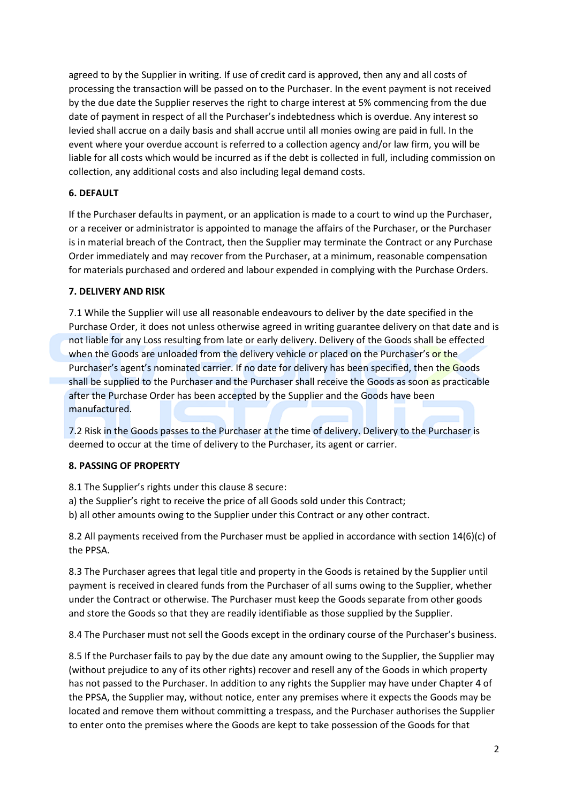agreed to by the Supplier in writing. If use of credit card is approved, then any and all costs of processing the transaction will be passed on to the Purchaser. In the event payment is not received by the due date the Supplier reserves the right to charge interest at 5% commencing from the due date of payment in respect of all the Purchaser's indebtedness which is overdue. Any interest so levied shall accrue on a daily basis and shall accrue until all monies owing are paid in full. In the event where your overdue account is referred to a collection agency and/or law firm, you will be liable for all costs which would be incurred as if the debt is collected in full, including commission on collection, any additional costs and also including legal demand costs.

# **6. DEFAULT**

If the Purchaser defaults in payment, or an application is made to a court to wind up the Purchaser, or a receiver or administrator is appointed to manage the affairs of the Purchaser, or the Purchaser is in material breach of the Contract, then the Supplier may terminate the Contract or any Purchase Order immediately and may recover from the Purchaser, at a minimum, reasonable compensation for materials purchased and ordered and labour expended in complying with the Purchase Orders.

# **7. DELIVERY AND RISK**

7.1 While the Supplier will use all reasonable endeavours to deliver by the date specified in the Purchase Order, it does not unless otherwise agreed in writing guarantee delivery on that date and is not liable for any Loss resulting from late or early delivery. Delivery of the Goods shall be effected when the Goods are unloaded from the delivery vehicle or placed on the Purchaser's or the Purchaser's agent's nominated carrier. If no date for delivery has been specified, then the Goods shall be supplied to the Purchaser and the Purchaser shall receive the Goods as soon as practicable after the Purchase Order has been accepted by the Supplier and the Goods have been manufactured.

7.2 Risk in the Goods passes to the Purchaser at the time of delivery. Delivery to the Purchaser is deemed to occur at the time of delivery to the Purchaser, its agent or carrier.

# **8. PASSING OF PROPERTY**

8.1 The Supplier's rights under this clause 8 secure:

a) the Supplier's right to receive the price of all Goods sold under this Contract;

b) all other amounts owing to the Supplier under this Contract or any other contract.

8.2 All payments received from the Purchaser must be applied in accordance with section 14(6)(c) of the PPSA.

8.3 The Purchaser agrees that legal title and property in the Goods is retained by the Supplier until payment is received in cleared funds from the Purchaser of all sums owing to the Supplier, whether under the Contract or otherwise. The Purchaser must keep the Goods separate from other goods and store the Goods so that they are readily identifiable as those supplied by the Supplier.

8.4 The Purchaser must not sell the Goods except in the ordinary course of the Purchaser's business.

8.5 If the Purchaser fails to pay by the due date any amount owing to the Supplier, the Supplier may (without prejudice to any of its other rights) recover and resell any of the Goods in which property has not passed to the Purchaser. In addition to any rights the Supplier may have under Chapter 4 of the PPSA, the Supplier may, without notice, enter any premises where it expects the Goods may be located and remove them without committing a trespass, and the Purchaser authorises the Supplier to enter onto the premises where the Goods are kept to take possession of the Goods for that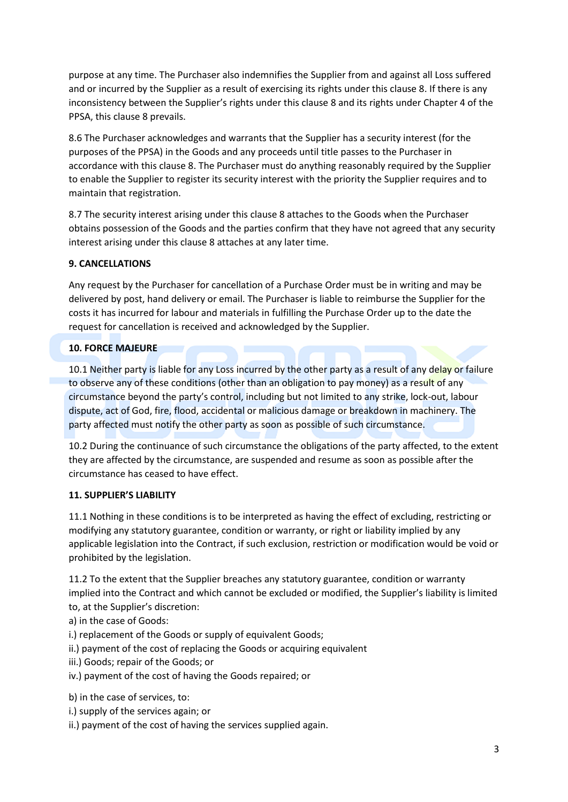purpose at any time. The Purchaser also indemnifies the Supplier from and against all Loss suffered and or incurred by the Supplier as a result of exercising its rights under this clause 8. If there is any inconsistency between the Supplier's rights under this clause 8 and its rights under Chapter 4 of the PPSA, this clause 8 prevails.

8.6 The Purchaser acknowledges and warrants that the Supplier has a security interest (for the purposes of the PPSA) in the Goods and any proceeds until title passes to the Purchaser in accordance with this clause 8. The Purchaser must do anything reasonably required by the Supplier to enable the Supplier to register its security interest with the priority the Supplier requires and to maintain that registration.

8.7 The security interest arising under this clause 8 attaches to the Goods when the Purchaser obtains possession of the Goods and the parties confirm that they have not agreed that any security interest arising under this clause 8 attaches at any later time.

# **9. CANCELLATIONS**

Any request by the Purchaser for cancellation of a Purchase Order must be in writing and may be delivered by post, hand delivery or email. The Purchaser is liable to reimburse the Supplier for the costs it has incurred for labour and materials in fulfilling the Purchase Order up to the date the request for cancellation is received and acknowledged by the Supplier.

# **10. FORCE MAJEURE**

10.1 Neither party is liable for any Loss incurred by the other party as a result of any delay or failure to observe any of these conditions (other than an obligation to pay money) as a result of any circumstance beyond the party's control, including but not limited to any strike, lock-out, labour dispute, act of God, fire, flood, accidental or malicious damage or breakdown in machinery. The party affected must notify the other party as soon as possible of such circumstance.

10.2 During the continuance of such circumstance the obligations of the party affected, to the extent they are affected by the circumstance, are suspended and resume as soon as possible after the circumstance has ceased to have effect.

# **11. SUPPLIER'S LIABILITY**

11.1 Nothing in these conditions is to be interpreted as having the effect of excluding, restricting or modifying any statutory guarantee, condition or warranty, or right or liability implied by any applicable legislation into the Contract, if such exclusion, restriction or modification would be void or prohibited by the legislation.

11.2 To the extent that the Supplier breaches any statutory guarantee, condition or warranty implied into the Contract and which cannot be excluded or modified, the Supplier's liability is limited to, at the Supplier's discretion:

- a) in the case of Goods:
- i.) replacement of the Goods or supply of equivalent Goods;
- ii.) payment of the cost of replacing the Goods or acquiring equivalent
- iii.) Goods; repair of the Goods; or
- iv.) payment of the cost of having the Goods repaired; or

b) in the case of services, to:

- i.) supply of the services again; or
- ii.) payment of the cost of having the services supplied again.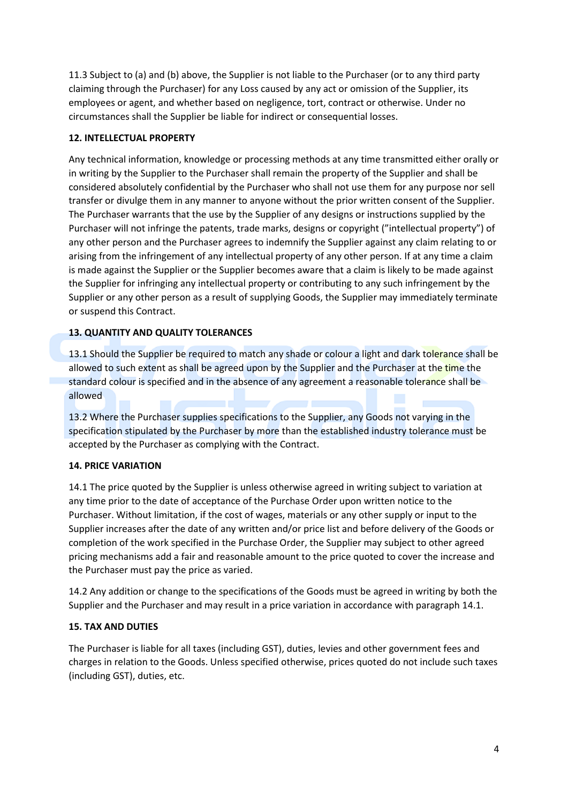11.3 Subject to (a) and (b) above, the Supplier is not liable to the Purchaser (or to any third party claiming through the Purchaser) for any Loss caused by any act or omission of the Supplier, its employees or agent, and whether based on negligence, tort, contract or otherwise. Under no circumstances shall the Supplier be liable for indirect or consequential losses.

## **12. INTELLECTUAL PROPERTY**

Any technical information, knowledge or processing methods at any time transmitted either orally or in writing by the Supplier to the Purchaser shall remain the property of the Supplier and shall be considered absolutely confidential by the Purchaser who shall not use them for any purpose nor sell transfer or divulge them in any manner to anyone without the prior written consent of the Supplier. The Purchaser warrants that the use by the Supplier of any designs or instructions supplied by the Purchaser will not infringe the patents, trade marks, designs or copyright ("intellectual property") of any other person and the Purchaser agrees to indemnify the Supplier against any claim relating to or arising from the infringement of any intellectual property of any other person. If at any time a claim is made against the Supplier or the Supplier becomes aware that a claim is likely to be made against the Supplier for infringing any intellectual property or contributing to any such infringement by the Supplier or any other person as a result of supplying Goods, the Supplier may immediately terminate or suspend this Contract.

# **13. QUANTITY AND QUALITY TOLERANCES**

13.1 Should the Supplier be required to match any shade or colour a light and dark tolerance shall be allowed to such extent as shall be agreed upon by the Supplier and the Purchaser at the time the standard colour is specified and in the absence of any agreement a reasonable tolerance shall be allowed

13.2 Where the Purchaser supplies specifications to the Supplier, any Goods not varying in the specification stipulated by the Purchaser by more than the established industry tolerance must be accepted by the Purchaser as complying with the Contract.

#### **14. PRICE VARIATION**

14.1 The price quoted by the Supplier is unless otherwise agreed in writing subject to variation at any time prior to the date of acceptance of the Purchase Order upon written notice to the Purchaser. Without limitation, if the cost of wages, materials or any other supply or input to the Supplier increases after the date of any written and/or price list and before delivery of the Goods or completion of the work specified in the Purchase Order, the Supplier may subject to other agreed pricing mechanisms add a fair and reasonable amount to the price quoted to cover the increase and the Purchaser must pay the price as varied.

14.2 Any addition or change to the specifications of the Goods must be agreed in writing by both the Supplier and the Purchaser and may result in a price variation in accordance with paragraph 14.1.

# **15. TAX AND DUTIES**

The Purchaser is liable for all taxes (including GST), duties, levies and other government fees and charges in relation to the Goods. Unless specified otherwise, prices quoted do not include such taxes (including GST), duties, etc.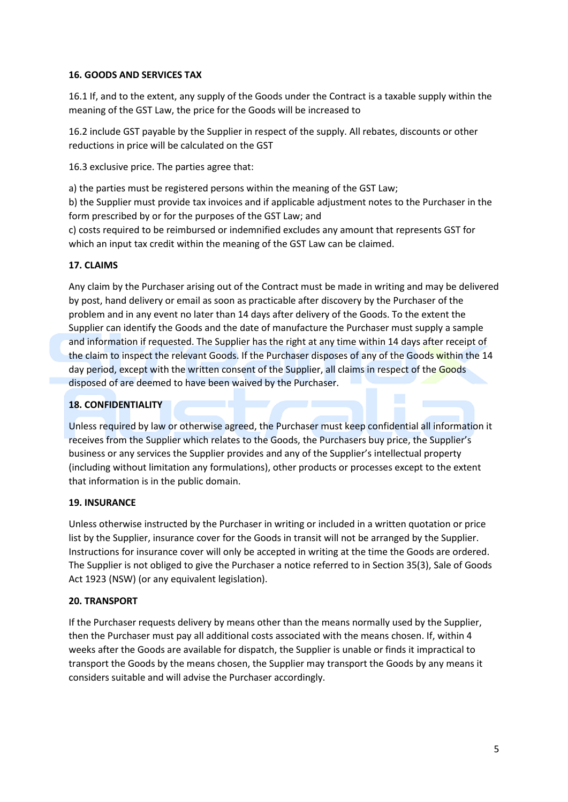## **16. GOODS AND SERVICES TAX**

16.1 If, and to the extent, any supply of the Goods under the Contract is a taxable supply within the meaning of the GST Law, the price for the Goods will be increased to

16.2 include GST payable by the Supplier in respect of the supply. All rebates, discounts or other reductions in price will be calculated on the GST

16.3 exclusive price. The parties agree that:

a) the parties must be registered persons within the meaning of the GST Law;

b) the Supplier must provide tax invoices and if applicable adjustment notes to the Purchaser in the form prescribed by or for the purposes of the GST Law; and

c) costs required to be reimbursed or indemnified excludes any amount that represents GST for which an input tax credit within the meaning of the GST Law can be claimed.

## **17. CLAIMS**

Any claim by the Purchaser arising out of the Contract must be made in writing and may be delivered by post, hand delivery or email as soon as practicable after discovery by the Purchaser of the problem and in any event no later than 14 days after delivery of the Goods. To the extent the Supplier can identify the Goods and the date of manufacture the Purchaser must supply a sample and information if requested. The Supplier has the right at any time within 14 days after receipt of the claim to inspect the relevant Goods. If the Purchaser disposes of any of the Goods within the 14 day period, except with the written consent of the Supplier, all claims in respect of the Goods disposed of are deemed to have been waived by the Purchaser.

## **18. CONFIDENTIALITY**

Unless required by law or otherwise agreed, the Purchaser must keep confidential all information it receives from the Supplier which relates to the Goods, the Purchasers buy price, the Supplier's business or any services the Supplier provides and any of the Supplier's intellectual property (including without limitation any formulations), other products or processes except to the extent that information is in the public domain.

#### **19. INSURANCE**

Unless otherwise instructed by the Purchaser in writing or included in a written quotation or price list by the Supplier, insurance cover for the Goods in transit will not be arranged by the Supplier. Instructions for insurance cover will only be accepted in writing at the time the Goods are ordered. The Supplier is not obliged to give the Purchaser a notice referred to in Section 35(3), Sale of Goods Act 1923 (NSW) (or any equivalent legislation).

#### **20. TRANSPORT**

If the Purchaser requests delivery by means other than the means normally used by the Supplier, then the Purchaser must pay all additional costs associated with the means chosen. If, within 4 weeks after the Goods are available for dispatch, the Supplier is unable or finds it impractical to transport the Goods by the means chosen, the Supplier may transport the Goods by any means it considers suitable and will advise the Purchaser accordingly.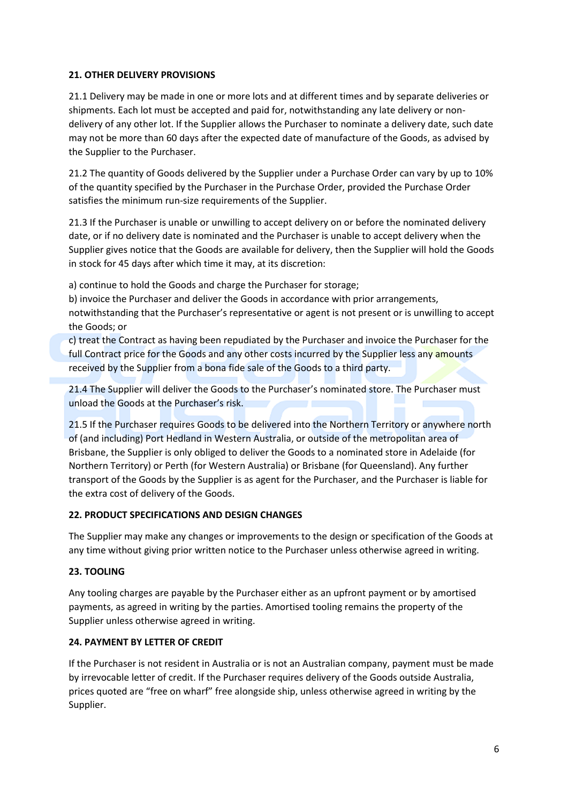# **21. OTHER DELIVERY PROVISIONS**

21.1 Delivery may be made in one or more lots and at different times and by separate deliveries or shipments. Each lot must be accepted and paid for, notwithstanding any late delivery or nondelivery of any other lot. If the Supplier allows the Purchaser to nominate a delivery date, such date may not be more than 60 days after the expected date of manufacture of the Goods, as advised by the Supplier to the Purchaser.

21.2 The quantity of Goods delivered by the Supplier under a Purchase Order can vary by up to 10% of the quantity specified by the Purchaser in the Purchase Order, provided the Purchase Order satisfies the minimum run-size requirements of the Supplier.

21.3 If the Purchaser is unable or unwilling to accept delivery on or before the nominated delivery date, or if no delivery date is nominated and the Purchaser is unable to accept delivery when the Supplier gives notice that the Goods are available for delivery, then the Supplier will hold the Goods in stock for 45 days after which time it may, at its discretion:

a) continue to hold the Goods and charge the Purchaser for storage;

b) invoice the Purchaser and deliver the Goods in accordance with prior arrangements, notwithstanding that the Purchaser's representative or agent is not present or is unwilling to accept the Goods; or

c) treat the Contract as having been repudiated by the Purchaser and invoice the Purchaser for the full Contract price for the Goods and any other costs incurred by the Supplier less any amounts received by the Supplier from a bona fide sale of the Goods to a third party.

21.4 The Supplier will deliver the Goods to the Purchaser's nominated store. The Purchaser must unload the Goods at the Purchaser's risk.

21.5 If the Purchaser requires Goods to be delivered into the Northern Territory or anywhere north of (and including) Port Hedland in Western Australia, or outside of the metropolitan area of Brisbane, the Supplier is only obliged to deliver the Goods to a nominated store in Adelaide (for Northern Territory) or Perth (for Western Australia) or Brisbane (for Queensland). Any further transport of the Goods by the Supplier is as agent for the Purchaser, and the Purchaser is liable for the extra cost of delivery of the Goods.

# **22. PRODUCT SPECIFICATIONS AND DESIGN CHANGES**

The Supplier may make any changes or improvements to the design or specification of the Goods at any time without giving prior written notice to the Purchaser unless otherwise agreed in writing.

#### **23. TOOLING**

Any tooling charges are payable by the Purchaser either as an upfront payment or by amortised payments, as agreed in writing by the parties. Amortised tooling remains the property of the Supplier unless otherwise agreed in writing.

#### **24. PAYMENT BY LETTER OF CREDIT**

If the Purchaser is not resident in Australia or is not an Australian company, payment must be made by irrevocable letter of credit. If the Purchaser requires delivery of the Goods outside Australia, prices quoted are "free on wharf" free alongside ship, unless otherwise agreed in writing by the Supplier.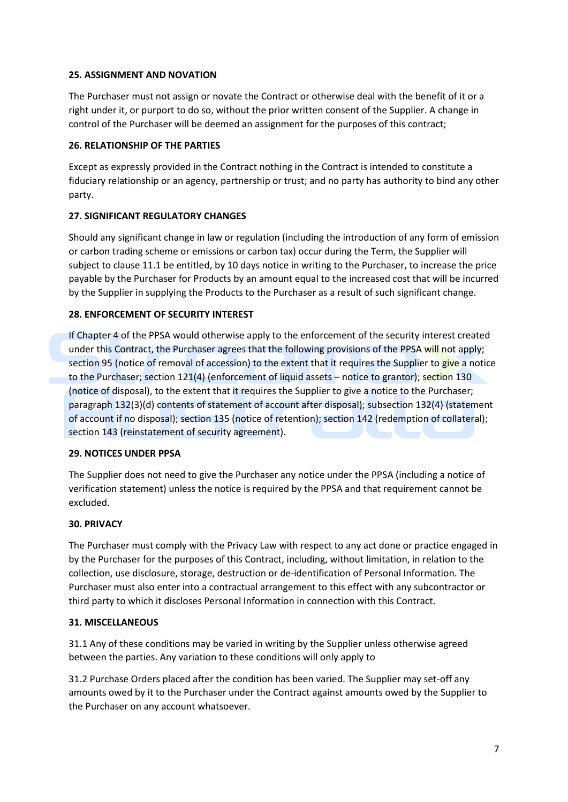## **25. ASSIGNMENT AND NOVATION**

The Purchaser must not assign or novate the Contract or otherwise deal with the benefit of it or a right under it, or purport to do so, without the prior written consent of the Supplier. A change in control of the Purchaser will be deemed an assignment for the purposes of this contract;

## **26. RELATIONSHIP OF THE PARTIES**

Except as expressly provided in the Contract nothing in the Contract is intended to constitute a fiduciary relationship or an agency, partnership or trust; and no party has authority to bind any other party.

# **27. SIGNIFICANT REGULATORY CHANGES**

Should any significant change in law or regulation (including the introduction of any form of emission or carbon trading scheme or emissions or carbon tax) occur during the Term, the Supplier will subject to clause 11.1 be entitled, by 10 days notice in writing to the Purchaser, to increase the price payable by the Purchaser for Products by an amount equal to the increased cost that will be incurred by the Supplier in supplying the Products to the Purchaser as a result of such significant change.

# **28. ENFORCEMENT OF SECURITY INTEREST**

If Chapter 4 of the PPSA would otherwise apply to the enforcement of the security interest created under this Contract, the Purchaser agrees that the following provisions of the PPSA will not apply; section 95 (notice of removal of accession) to the extent that it requires the Supplier to give a notice to the Purchaser; section 121(4) (enforcement of liquid assets – notice to grantor); section 130 (notice of disposal), to the extent that it requires the Supplier to give a notice to the Purchaser; paragraph 132(3)(d) contents of statement of account after disposal); subsection 132(4) (statement of account if no disposal); section 135 (notice of retention); section 142 (redemption of collateral); section 143 (reinstatement of security agreement).

# **29. NOTICES UNDER PPSA**

The Supplier does not need to give the Purchaser any notice under the PPSA (including a notice of verification statement) unless the notice is required by the PPSA and that requirement cannot be excluded.

# **30. PRIVACY**

The Purchaser must comply with the Privacy Law with respect to any act done or practice engaged in by the Purchaser for the purposes of this Contract, including, without limitation, in relation to the collection, use disclosure, storage, destruction or de-identification of Personal Information. The Purchaser must also enter into a contractual arrangement to this effect with any subcontractor or third party to which it discloses Personal Information in connection with this Contract.

#### **31. MISCELLANEOUS**

31.1 Any of these conditions may be varied in writing by the Supplier unless otherwise agreed between the parties. Any variation to these conditions will only apply to

31.2 Purchase Orders placed after the condition has been varied. The Supplier may set-off any amounts owed by it to the Purchaser under the Contract against amounts owed by the Supplier to the Purchaser on any account whatsoever.